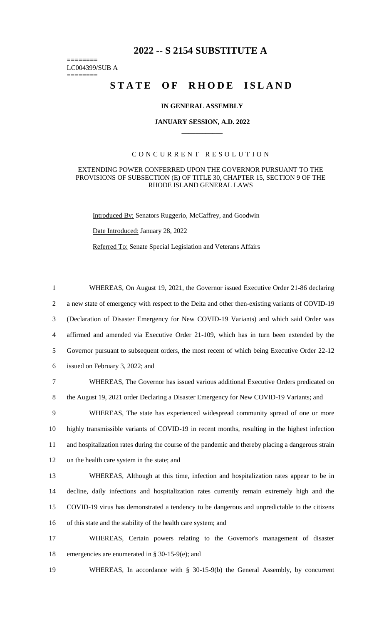## **2022 -- S 2154 SUBSTITUTE A**

======== LC004399/SUB A

========

# STATE OF RHODE ISLAND

#### **IN GENERAL ASSEMBLY**

#### **JANUARY SESSION, A.D. 2022 \_\_\_\_\_\_\_\_\_\_\_\_**

### CONCURRENT RESOLUTION

#### EXTENDING POWER CONFERRED UPON THE GOVERNOR PURSUANT TO THE PROVISIONS OF SUBSECTION (E) OF TITLE 30, CHAPTER 15, SECTION 9 OF THE RHODE ISLAND GENERAL LAWS

Introduced By: Senators Ruggerio, McCaffrey, and Goodwin

Date Introduced: January 28, 2022

Referred To: Senate Special Legislation and Veterans Affairs

 WHEREAS, On August 19, 2021, the Governor issued Executive Order 21-86 declaring a new state of emergency with respect to the Delta and other then-existing variants of COVID-19 (Declaration of Disaster Emergency for New COVID-19 Variants) and which said Order was affirmed and amended via Executive Order 21-109, which has in turn been extended by the Governor pursuant to subsequent orders, the most recent of which being Executive Order 22-12 issued on February 3, 2022; and WHEREAS, The Governor has issued various additional Executive Orders predicated on the August 19, 2021 order Declaring a Disaster Emergency for New COVID-19 Variants; and WHEREAS, The state has experienced widespread community spread of one or more highly transmissible variants of COVID-19 in recent months, resulting in the highest infection and hospitalization rates during the course of the pandemic and thereby placing a dangerous strain on the health care system in the state; and WHEREAS, Although at this time, infection and hospitalization rates appear to be in decline, daily infections and hospitalization rates currently remain extremely high and the COVID-19 virus has demonstrated a tendency to be dangerous and unpredictable to the citizens of this state and the stability of the health care system; and WHEREAS, Certain powers relating to the Governor's management of disaster

- 18 emergencies are enumerated in § 30-15-9(e); and
- 19 WHEREAS, In accordance with § 30-15-9(b) the General Assembly, by concurrent